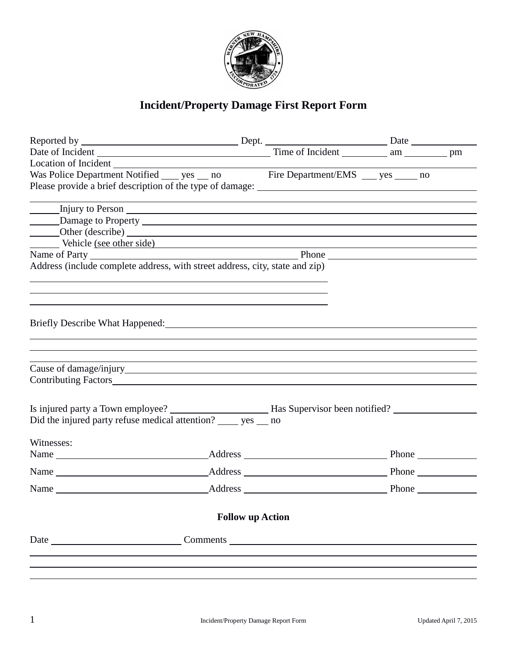

## **Incident/Property Damage First Report Form**

| Location of Incident Location Control of Location Control Control of Incident Location Control of Incident Location Control of Incident Location Control of Incident Location Control of Incident Location Control of Incident |                         |  |  |
|--------------------------------------------------------------------------------------------------------------------------------------------------------------------------------------------------------------------------------|-------------------------|--|--|
| Was Police Department Notified ______ yes _____ no Fire Department/EMS ______ yes _______ no                                                                                                                                   |                         |  |  |
|                                                                                                                                                                                                                                |                         |  |  |
|                                                                                                                                                                                                                                |                         |  |  |
|                                                                                                                                                                                                                                |                         |  |  |
|                                                                                                                                                                                                                                |                         |  |  |
| Other (describe)<br>Vehicle (see other side)                                                                                                                                                                                   |                         |  |  |
|                                                                                                                                                                                                                                |                         |  |  |
| Name of Party<br>Address (include complete address, with street address, city, state and zip)<br>Address (include complete address, with street address, city, state and zip)                                                  |                         |  |  |
|                                                                                                                                                                                                                                |                         |  |  |
|                                                                                                                                                                                                                                |                         |  |  |
|                                                                                                                                                                                                                                |                         |  |  |
|                                                                                                                                                                                                                                |                         |  |  |
| Briefly Describe What Happened: Management School and Theory and Theory and Theory and Theory and Theory and T                                                                                                                 |                         |  |  |
|                                                                                                                                                                                                                                |                         |  |  |
|                                                                                                                                                                                                                                |                         |  |  |
|                                                                                                                                                                                                                                |                         |  |  |
|                                                                                                                                                                                                                                |                         |  |  |
| Contributing Factors <b>Executive Contributing Factors</b>                                                                                                                                                                     |                         |  |  |
|                                                                                                                                                                                                                                |                         |  |  |
|                                                                                                                                                                                                                                |                         |  |  |
| Did the injured party refuse medical attention? ______ yes ___ no                                                                                                                                                              |                         |  |  |
|                                                                                                                                                                                                                                |                         |  |  |
| Witnesses:                                                                                                                                                                                                                     |                         |  |  |
|                                                                                                                                                                                                                                |                         |  |  |
|                                                                                                                                                                                                                                |                         |  |  |
|                                                                                                                                                                                                                                |                         |  |  |
|                                                                                                                                                                                                                                | <b>Follow up Action</b> |  |  |
|                                                                                                                                                                                                                                |                         |  |  |
| Date Comments                                                                                                                                                                                                                  |                         |  |  |
|                                                                                                                                                                                                                                |                         |  |  |
|                                                                                                                                                                                                                                |                         |  |  |